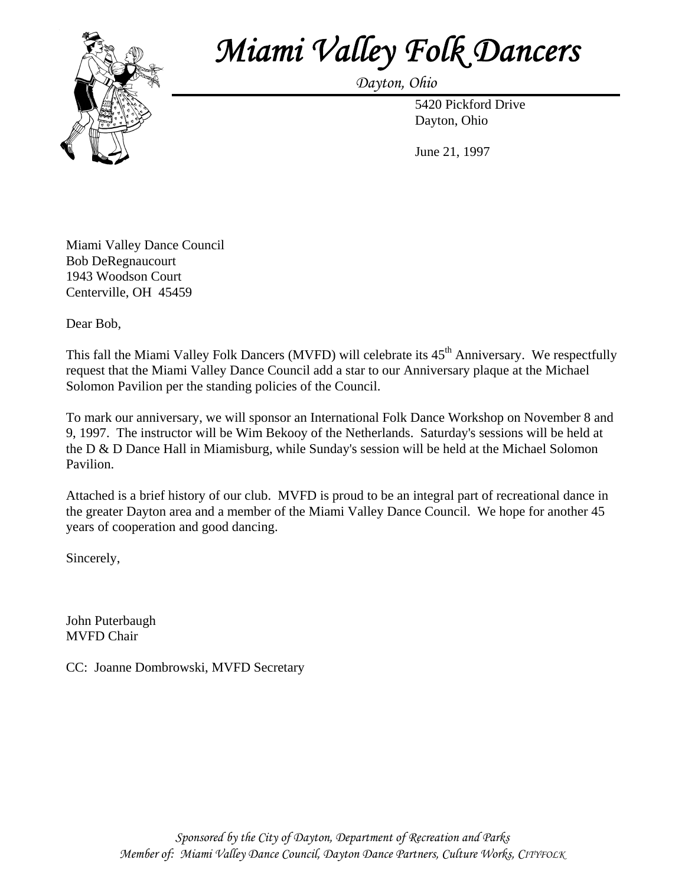

## *Miami Valley Folk Dancers Dayton, Ohio*

 5420 Pickford Drive Dayton, Ohio

June 21, 1997

Miami Valley Dance Council Bob DeRegnaucourt 1943 Woodson Court Centerville, OH 45459

Dear Bob,

This fall the Miami Valley Folk Dancers (MVFD) will celebrate its 45<sup>th</sup> Anniversary. We respectfully request that the Miami Valley Dance Council add a star to our Anniversary plaque at the Michael Solomon Pavilion per the standing policies of the Council.

To mark our anniversary, we will sponsor an International Folk Dance Workshop on November 8 and 9, 1997. The instructor will be Wim Bekooy of the Netherlands. Saturday's sessions will be held at the D & D Dance Hall in Miamisburg, while Sunday's session will be held at the Michael Solomon Pavilion.

Attached is a brief history of our club. MVFD is proud to be an integral part of recreational dance in the greater Dayton area and a member of the Miami Valley Dance Council. We hope for another 45 years of cooperation and good dancing.

Sincerely,

John Puterbaugh MVFD Chair

CC: Joanne Dombrowski, MVFD Secretary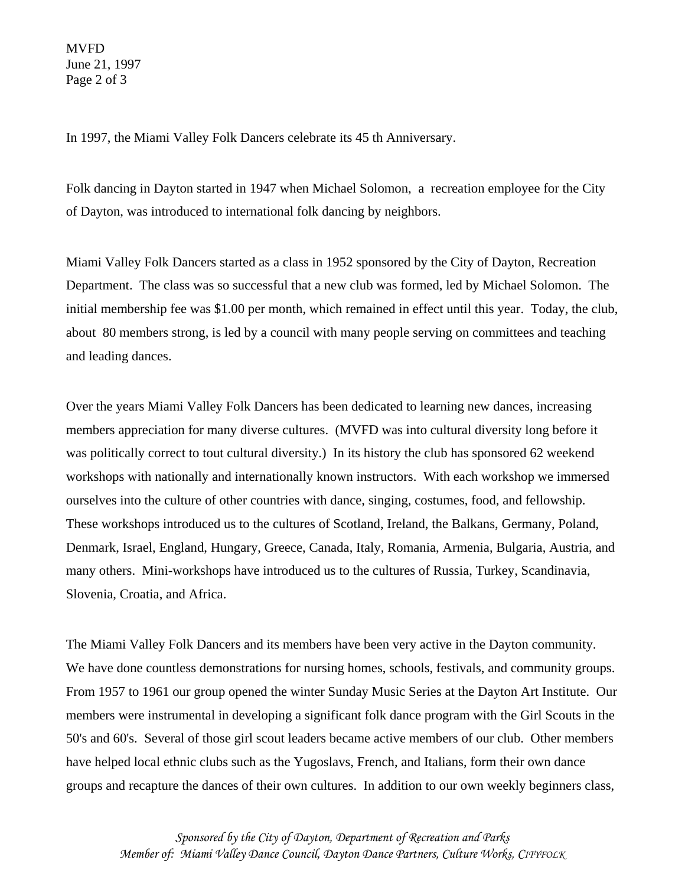MVFD June 21, 1997 Page 2 of 3

In 1997, the Miami Valley Folk Dancers celebrate its 45 th Anniversary.

Folk dancing in Dayton started in 1947 when Michael Solomon, a recreation employee for the City of Dayton, was introduced to international folk dancing by neighbors.

Miami Valley Folk Dancers started as a class in 1952 sponsored by the City of Dayton, Recreation Department. The class was so successful that a new club was formed, led by Michael Solomon. The initial membership fee was \$1.00 per month, which remained in effect until this year. Today, the club, about 80 members strong, is led by a council with many people serving on committees and teaching and leading dances.

Over the years Miami Valley Folk Dancers has been dedicated to learning new dances, increasing members appreciation for many diverse cultures. (MVFD was into cultural diversity long before it was politically correct to tout cultural diversity.) In its history the club has sponsored 62 weekend workshops with nationally and internationally known instructors. With each workshop we immersed ourselves into the culture of other countries with dance, singing, costumes, food, and fellowship. These workshops introduced us to the cultures of Scotland, Ireland, the Balkans, Germany, Poland, Denmark, Israel, England, Hungary, Greece, Canada, Italy, Romania, Armenia, Bulgaria, Austria, and many others. Mini-workshops have introduced us to the cultures of Russia, Turkey, Scandinavia, Slovenia, Croatia, and Africa.

The Miami Valley Folk Dancers and its members have been very active in the Dayton community. We have done countless demonstrations for nursing homes, schools, festivals, and community groups. From 1957 to 1961 our group opened the winter Sunday Music Series at the Dayton Art Institute. Our members were instrumental in developing a significant folk dance program with the Girl Scouts in the 50's and 60's. Several of those girl scout leaders became active members of our club. Other members have helped local ethnic clubs such as the Yugoslavs, French, and Italians, form their own dance groups and recapture the dances of their own cultures. In addition to our own weekly beginners class,

*Sponsored by the City of Dayton, Department of Recreation and Parks Member of: Miami Valley Dance Council, Dayton Dance Partners, Culture Works, CITYFOLK*